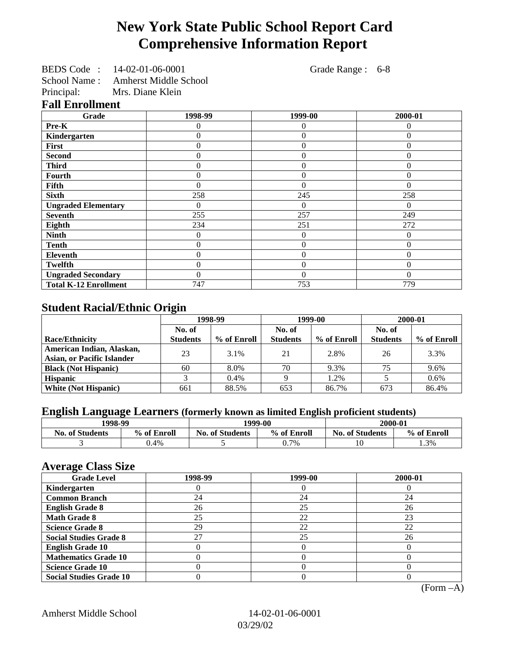## **New York State Public School Report Card Comprehensive Information Report**

| BEDS Code: 14-02-01-06-0001        | Grade Range : 6-8 |  |
|------------------------------------|-------------------|--|
| School Name: Amherst Middle School |                   |  |

Principal: Mrs. Diane Klein

**Fall Enrollment**

| Grade                        | 1998-99 | 1999-00        | 2000-01  |
|------------------------------|---------|----------------|----------|
| Pre-K                        | 0       | 0              | 0        |
| Kindergarten                 | 0       | $\theta$       | $\Omega$ |
| First                        | 0       | $\overline{0}$ | $\Omega$ |
| <b>Second</b>                | 0       | $\Omega$       | $\Omega$ |
| <b>Third</b>                 |         | $\theta$       | $\Omega$ |
| <b>Fourth</b>                |         | 0              | 0        |
| <b>Fifth</b>                 | 0       | $\Omega$       | $\Omega$ |
| <b>Sixth</b>                 | 258     | 245            | 258      |
| <b>Ungraded Elementary</b>   |         | $\Omega$       | $\Omega$ |
| <b>Seventh</b>               | 255     | 257            | 249      |
| Eighth                       | 234     | 251            | 272      |
| <b>Ninth</b>                 | 0       | $\overline{0}$ | $\Omega$ |
| <b>Tenth</b>                 | 0       | $\theta$       | $\Omega$ |
| <b>Eleventh</b>              | 0       | $\overline{0}$ | $\Omega$ |
| <b>Twelfth</b>               | 0       | $\overline{0}$ | $\Omega$ |
| <b>Ungraded Secondary</b>    | 0       | $\Omega$       | $\Omega$ |
| <b>Total K-12 Enrollment</b> | 747     | 753            | 779      |

## **Student Racial/Ethnic Origin**

|                                   | 1998-99         |             | 1999-00         |             | 2000-01         |             |
|-----------------------------------|-----------------|-------------|-----------------|-------------|-----------------|-------------|
|                                   | No. of          |             | No. of          |             | No. of          |             |
| <b>Race/Ethnicity</b>             | <b>Students</b> | % of Enroll | <b>Students</b> | % of Enroll | <b>Students</b> | % of Enroll |
| American Indian, Alaskan,         | 23              | 3.1%        | 21              | 2.8%        | 26              | 3.3%        |
| <b>Asian, or Pacific Islander</b> |                 |             |                 |             |                 |             |
| <b>Black (Not Hispanic)</b>       | 60              | 8.0%        | 70              | 9.3%        | 75              | 9.6%        |
| <b>Hispanic</b>                   |                 | 0.4%        |                 | 1.2%        |                 | 0.6%        |
| <b>White (Not Hispanic)</b>       | 661             | 88.5%       | 653             | 86.7%       | 673             | 86.4%       |

## **English Language Learners (formerly known as limited English proficient students)**

| 1998-99                |             | 2000-01<br>1999-00                    |      |                        |             |  |
|------------------------|-------------|---------------------------------------|------|------------------------|-------------|--|
| <b>No. of Students</b> | % of Enroll | % of Enroll<br><b>No. of Students</b> |      | <b>No. of Students</b> | % of Enroll |  |
|                        | $0.4\%$     |                                       | 0.7% | 10                     | 1.3%        |  |

### **Average Class Size**

| o<br><b>Grade Level</b>        | 1998-99 | 1999-00 | 2000-01 |
|--------------------------------|---------|---------|---------|
| Kindergarten                   |         |         |         |
| <b>Common Branch</b>           | 24      | 24      | 24      |
| <b>English Grade 8</b>         | 26      | 25      | 26      |
| <b>Math Grade 8</b>            | 25      | 22      | 23      |
| <b>Science Grade 8</b>         | 29      | 22      | 22      |
| <b>Social Studies Grade 8</b>  | 27      | 25      | 26      |
| <b>English Grade 10</b>        |         |         |         |
| <b>Mathematics Grade 10</b>    |         |         |         |
| <b>Science Grade 10</b>        |         |         |         |
| <b>Social Studies Grade 10</b> |         |         |         |

(Form –A)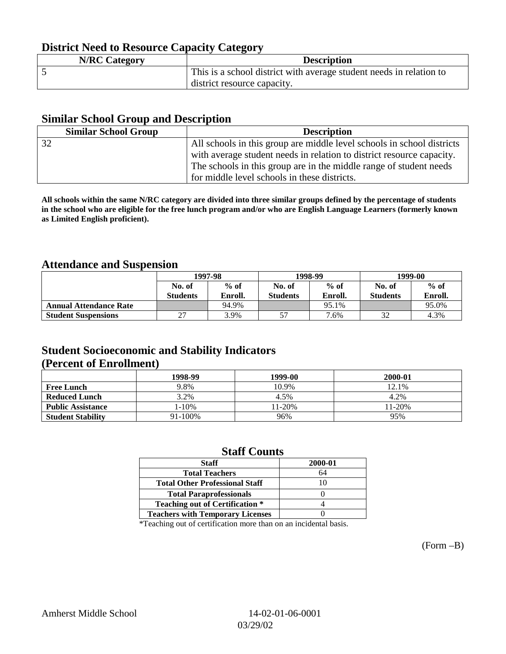## **District Need to Resource Capacity Category**

| <b>N/RC Category</b> | <b>Description</b>                                                  |
|----------------------|---------------------------------------------------------------------|
|                      | This is a school district with average student needs in relation to |
|                      | district resource capacity.                                         |

## **Similar School Group and Description**

| <b>Similar School Group</b> | <b>Description</b>                                                     |
|-----------------------------|------------------------------------------------------------------------|
| 32                          | All schools in this group are middle level schools in school districts |
|                             | with average student needs in relation to district resource capacity.  |
|                             | The schools in this group are in the middle range of student needs     |
|                             | for middle level schools in these districts.                           |

**All schools within the same N/RC category are divided into three similar groups defined by the percentage of students in the school who are eligible for the free lunch program and/or who are English Language Learners (formerly known as Limited English proficient).**

## **Attendance and Suspension**

|                               |                 | 1997-98 |                 | 1998-99 |                 | 1999-00 |  |
|-------------------------------|-----------------|---------|-----------------|---------|-----------------|---------|--|
|                               | No. of          | $%$ of  | No. of          | $%$ of  | No. of          | $%$ of  |  |
|                               | <b>Students</b> | Enroll. | <b>Students</b> | Enroll. | <b>Students</b> | Enroll. |  |
| <b>Annual Attendance Rate</b> |                 | 94.9%   |                 | 95.1%   |                 | 95.0%   |  |
| <b>Student Suspensions</b>    | $\mathcal{L}$   | 3.9%    |                 | 7.6%    | 32              | 4.3%    |  |

## **Student Socioeconomic and Stability Indicators (Percent of Enrollment)**

|                          | 1998-99 | 1999-00 | 2000-01    |
|--------------------------|---------|---------|------------|
| <b>Free Lunch</b>        | 9.8%    | 10.9%   | 12.1%      |
| <b>Reduced Lunch</b>     | 3.2%    | 4.5%    | 4.2%       |
| <b>Public Assistance</b> | l-10%   | 11-20%  | $11 - 20%$ |
| <b>Student Stability</b> | 91-100% | 96%     | 95%        |

## **Staff Counts**

| <b>Staff</b>                            | 2000-01 |
|-----------------------------------------|---------|
| <b>Total Teachers</b>                   | 64      |
| <b>Total Other Professional Staff</b>   |         |
| <b>Total Paraprofessionals</b>          |         |
| <b>Teaching out of Certification *</b>  |         |
| <b>Teachers with Temporary Licenses</b> |         |

\*Teaching out of certification more than on an incidental basis.

(Form –B)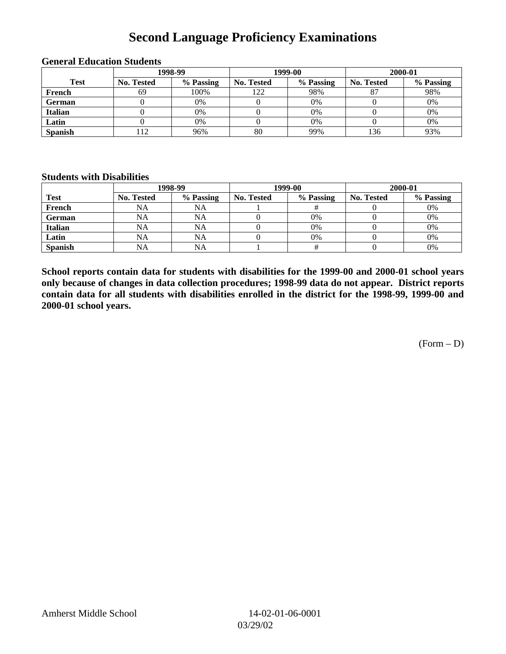## **Second Language Proficiency Examinations**

|                | 1998-99           |           |                   | 1999-00   | 2000-01           |           |
|----------------|-------------------|-----------|-------------------|-----------|-------------------|-----------|
| <b>Test</b>    | <b>No. Tested</b> | % Passing | <b>No. Tested</b> | % Passing | <b>No. Tested</b> | % Passing |
| French         | 69                | 100%      | 122               | 98%       | $\circ$           | 98%       |
| <b>German</b>  |                   | 0%        |                   | 0%        |                   | 0%        |
| <b>Italian</b> |                   | 0%        |                   | 0%        |                   | 0%        |
| Latin          |                   | 0%        |                   | 0%        |                   | 0%        |
| <b>Spanish</b> | 12                | 96%       | 80                | 99%       | 136               | 93%       |

#### **General Education Students**

#### **Students with Disabilities**

|                | 1998-99    |           |                   | 1999-00   | 2000-01           |           |  |
|----------------|------------|-----------|-------------------|-----------|-------------------|-----------|--|
| <b>Test</b>    | No. Tested | % Passing | <b>No. Tested</b> | % Passing | <b>No. Tested</b> | % Passing |  |
| French         | NA         | NA        |                   |           |                   | 0%        |  |
| <b>German</b>  | <b>NA</b>  | NA        |                   | 0%        |                   | 0%        |  |
| Italian        | NA         | NA        |                   | 0%        |                   | 0%        |  |
| Latin          | <b>NA</b>  | NA        |                   | 0%        |                   | 0%        |  |
| <b>Spanish</b> | <b>NA</b>  | NA        |                   |           |                   | 0%        |  |

**School reports contain data for students with disabilities for the 1999-00 and 2000-01 school years only because of changes in data collection procedures; 1998-99 data do not appear. District reports contain data for all students with disabilities enrolled in the district for the 1998-99, 1999-00 and 2000-01 school years.**

 $(Form - D)$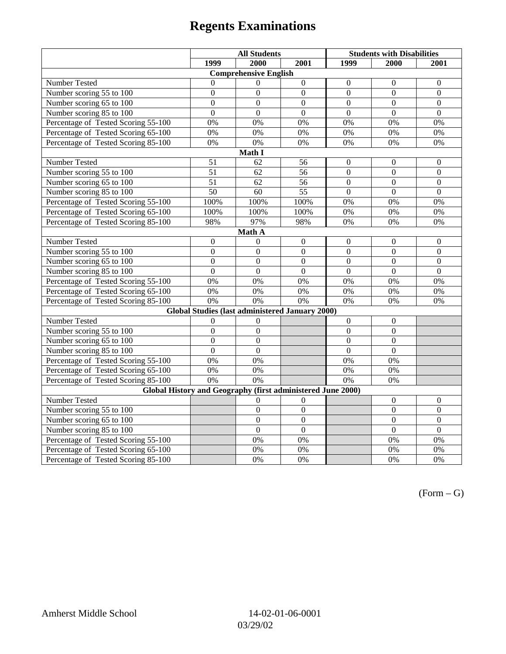# **Regents Examinations**

|                                                             | <b>All Students</b> |                              | <b>Students with Disabilities</b> |                  |                  |                  |  |  |
|-------------------------------------------------------------|---------------------|------------------------------|-----------------------------------|------------------|------------------|------------------|--|--|
|                                                             | 1999                | 2000                         | 2001                              | 1999             | 2000             | 2001             |  |  |
|                                                             |                     | <b>Comprehensive English</b> |                                   |                  |                  |                  |  |  |
| Number Tested                                               | $\mathbf{0}$        | $\theta$                     | $\overline{0}$                    | $\overline{0}$   | $\mathbf{0}$     | $\mathbf{0}$     |  |  |
| Number scoring 55 to 100                                    | $\mathbf{0}$        | $\theta$                     | $\overline{0}$                    | $\theta$         | $\Omega$         | $\boldsymbol{0}$ |  |  |
| Number scoring 65 to 100                                    | $\overline{0}$      | $\overline{0}$               | $\overline{0}$                    | $\overline{0}$   | $\overline{0}$   | $\overline{0}$   |  |  |
| Number scoring 85 to 100                                    | $\overline{0}$      | $\overline{0}$               | $\Omega$                          | $\overline{0}$   | $\overline{0}$   | $\overline{0}$   |  |  |
| Percentage of Tested Scoring 55-100                         | 0%                  | 0%                           | 0%                                | 0%               | 0%               | 0%               |  |  |
| Percentage of Tested Scoring 65-100                         | $0\%$               | 0%                           | 0%                                | $0\%$            | 0%               | 0%               |  |  |
| Percentage of Tested Scoring 85-100                         | 0%                  | 0%                           | 0%                                | 0%               | 0%               | 0%               |  |  |
|                                                             |                     | Math I                       |                                   |                  |                  |                  |  |  |
| Number Tested                                               | 51                  | 62                           | 56                                | $\overline{0}$   | $\boldsymbol{0}$ | $\boldsymbol{0}$ |  |  |
| Number scoring 55 to 100                                    | $\overline{51}$     | 62                           | 56                                | $\overline{0}$   | $\mathbf{0}$     | $\mathbf{0}$     |  |  |
| Number scoring 65 to 100                                    | 51                  | 62                           | 56                                | $\overline{0}$   | $\mathbf{0}$     | $\boldsymbol{0}$ |  |  |
| Number scoring 85 to 100                                    | $\overline{50}$     | $\overline{60}$              | $\overline{55}$                   | $\overline{0}$   | $\overline{0}$   | $\overline{0}$   |  |  |
| Percentage of Tested Scoring 55-100                         | 100%                | 100%                         | 100%                              | 0%               | 0%               | 0%               |  |  |
| Percentage of Tested Scoring 65-100                         | 100%                | 100%                         | 100%                              | 0%               | 0%               | 0%               |  |  |
| Percentage of Tested Scoring 85-100                         | 98%                 | 97%                          | 98%                               | 0%               | 0%               | 0%               |  |  |
|                                                             |                     | Math A                       |                                   |                  |                  |                  |  |  |
| Number Tested                                               | $\boldsymbol{0}$    | $\boldsymbol{0}$             | $\boldsymbol{0}$                  | $\boldsymbol{0}$ | $\boldsymbol{0}$ | $\boldsymbol{0}$ |  |  |
| Number scoring $55 \overline{\text{to } 100}$               | $\mathbf{0}$        | $\mathbf{0}$                 | $\mathbf{0}$                      | $\overline{0}$   | $\mathbf{0}$     | $\mathbf{0}$     |  |  |
| Number scoring 65 to 100                                    | $\mathbf{0}$        | $\mathbf{0}$                 | $\mathbf{0}$                      | $\overline{0}$   | $\mathbf{0}$     | $\mathbf{0}$     |  |  |
| Number scoring 85 to 100                                    | $\mathbf{0}$        | $\overline{0}$               | $\mathbf{0}$                      | $\overline{0}$   | $\mathbf{0}$     | $\boldsymbol{0}$ |  |  |
| Percentage of Tested Scoring 55-100                         | 0%                  | 0%                           | 0%                                | 0%               | 0%               | 0%               |  |  |
| Percentage of Tested Scoring 65-100                         | 0%                  | 0%                           | 0%                                | $0\%$            | 0%               | 0%               |  |  |
| Percentage of Tested Scoring 85-100                         | 0%                  | 0%                           | 0%                                | 0%               | 0%               | 0%               |  |  |
| Global Studies (last administered January 2000)             |                     |                              |                                   |                  |                  |                  |  |  |
| Number Tested                                               | $\boldsymbol{0}$    | $\theta$                     |                                   | $\overline{0}$   | $\boldsymbol{0}$ |                  |  |  |
| Number scoring 55 to 100                                    | $\boldsymbol{0}$    | $\boldsymbol{0}$             |                                   | $\boldsymbol{0}$ | $\boldsymbol{0}$ |                  |  |  |
| Number scoring 65 to 100                                    | $\mathbf{0}$        | $\mathbf{0}$                 |                                   | $\overline{0}$   | $\mathbf{0}$     |                  |  |  |
| Number scoring 85 to 100                                    | $\mathbf{0}$        | $\overline{0}$               |                                   | $\overline{0}$   | $\mathbf{0}$     |                  |  |  |
| Percentage of Tested Scoring 55-100                         | 0%                  | 0%                           |                                   | 0%               | 0%               |                  |  |  |
| Percentage of Tested Scoring 65-100                         | 0%                  | 0%                           |                                   | 0%               | 0%               |                  |  |  |
| Percentage of Tested Scoring 85-100                         | 0%                  | 0%                           |                                   | 0%               | 0%               |                  |  |  |
| Global History and Geography (first administered June 2000) |                     |                              |                                   |                  |                  |                  |  |  |
| Number Tested                                               |                     | $\Omega$                     | $\Omega$                          |                  | $\boldsymbol{0}$ | $\boldsymbol{0}$ |  |  |
| Number scoring 55 to 100                                    |                     | $\boldsymbol{0}$             | $\mathbf{0}$                      |                  | $\mathbf{0}$     | $\boldsymbol{0}$ |  |  |
| Number scoring 65 to 100                                    |                     | $\overline{0}$               | $\overline{0}$                    |                  | $\overline{0}$   | $\boldsymbol{0}$ |  |  |
| Number scoring 85 to 100                                    |                     | $\overline{0}$               | $\overline{0}$                    |                  | $\overline{0}$   | $\overline{0}$   |  |  |
| Percentage of Tested Scoring 55-100                         |                     | 0%                           | 0%                                |                  | 0%               | 0%               |  |  |
| Percentage of Tested Scoring 65-100                         |                     | 0%                           | 0%                                |                  | 0%               | 0%               |  |  |
| Percentage of Tested Scoring 85-100                         |                     | 0%                           | 0%                                |                  | 0%               | 0%               |  |  |

 $(Form - G)$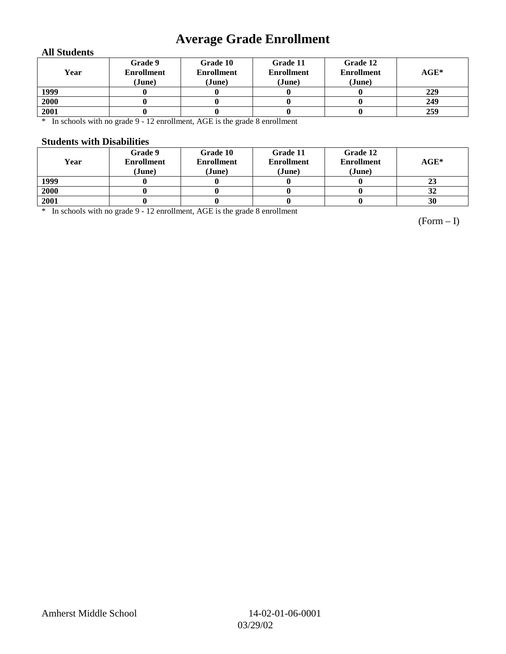## **Average Grade Enrollment**

### **All Students**

| Year | Grade 9<br><b>Enrollment</b><br>(June) | Grade 10<br><b>Enrollment</b><br>(June) | Grade 11<br><b>Enrollment</b><br>(June) | Grade 12<br><b>Enrollment</b><br>(June) | $AGE^*$ |
|------|----------------------------------------|-----------------------------------------|-----------------------------------------|-----------------------------------------|---------|
| 1999 |                                        |                                         |                                         |                                         | 229     |
| 2000 |                                        |                                         |                                         |                                         | 249     |
| 2001 |                                        |                                         |                                         |                                         | 259     |

\* In schools with no grade 9 - 12 enrollment, AGE is the grade 8 enrollment

#### **Students with Disabilities**

| Year | Grade 9<br><b>Enrollment</b><br>(June) | Grade 10<br><b>Enrollment</b><br>(June) | Grade 11<br><b>Enrollment</b><br>(June) | Grade 12<br><b>Enrollment</b><br>(June) | $AGE^*$ |
|------|----------------------------------------|-----------------------------------------|-----------------------------------------|-----------------------------------------|---------|
| 1999 |                                        |                                         |                                         |                                         | 23      |
| 2000 |                                        |                                         |                                         |                                         | 32      |
| 2001 |                                        |                                         |                                         |                                         | 30      |

\* In schools with no grade 9 - 12 enrollment, AGE is the grade 8 enrollment

(Form – I)